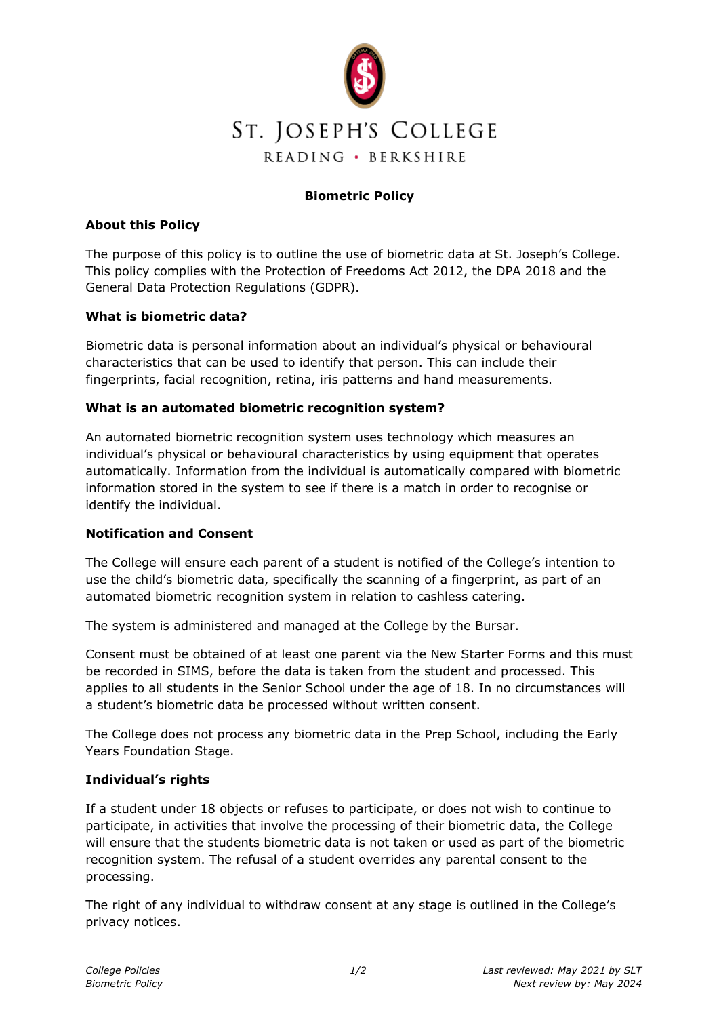

# **Biometric Policy**

## **About this Policy**

The purpose of this policy is to outline the use of biometric data at St. Joseph's College. This policy complies with the Protection of Freedoms Act 2012, the DPA 2018 and the General Data Protection Regulations (GDPR).

## **What is biometric data?**

Biometric data is personal information about an individual's physical or behavioural characteristics that can be used to identify that person. This can include their fingerprints, facial recognition, retina, iris patterns and hand measurements.

### **What is an automated biometric recognition system?**

An automated biometric recognition system uses technology which measures an individual's physical or behavioural characteristics by using equipment that operates automatically. Information from the individual is automatically compared with biometric information stored in the system to see if there is a match in order to recognise or identify the individual.

### **Notification and Consent**

The College will ensure each parent of a student is notified of the College's intention to use the child's biometric data, specifically the scanning of a fingerprint, as part of an automated biometric recognition system in relation to cashless catering.

The system is administered and managed at the College by the Bursar.

Consent must be obtained of at least one parent via the New Starter Forms and this must be recorded in SIMS, before the data is taken from the student and processed. This applies to all students in the Senior School under the age of 18. In no circumstances will a student's biometric data be processed without written consent.

The College does not process any biometric data in the Prep School, including the Early Years Foundation Stage.

### **Individual's rights**

If a student under 18 objects or refuses to participate, or does not wish to continue to participate, in activities that involve the processing of their biometric data, the College will ensure that the students biometric data is not taken or used as part of the biometric recognition system. The refusal of a student overrides any parental consent to the processing.

The right of any individual to withdraw consent at any stage is outlined in the College's privacy notices.